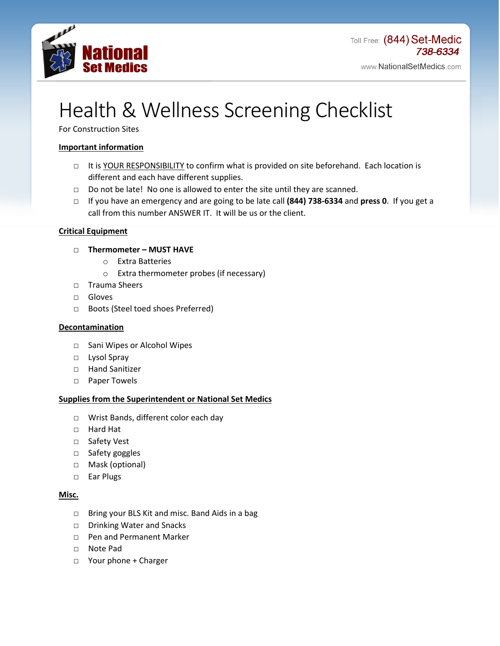

# Health & Wellness Screening Checklist

For Construction Sites

## **Important information**

- □ It is YOUR RESPONSIBILITY to confirm what is provided on site beforehand. Each location is different and each have different supplies.
- □ Do not be late! No one is allowed to enter the site until they are scanned.
- □ If you have an emergency and are going to be late call **(844) 738-6334** and **press 0**. If you get a call from this number ANSWER IT. It will be us or the client.

## **Critical Equipment**

## □ **Thermometer – MUST HAVE**

- o Extra Batteries
- o Extra thermometer probes (if necessary)
- □ Trauma Sheers
- □ Gloves
- □ Boots (Steel toed shoes Preferred)

## **Decontamination**

- □ Sani Wipes or Alcohol Wipes
- □ Lysol Spray
- □ Hand Sanitizer
- □ Paper Towels

## **Supplies from the Superintendent or National Set Medics**

- □ Wrist Bands, different color each day
- □ Hard Hat
- □ Safety Vest
- □ Safety goggles
- □ Mask (optional)
- □ Ear Plugs

## **Misc.**

- □ Bring your BLS Kit and misc. Band Aids in a bag
- □ Drinking Water and Snacks
- □ Pen and Permanent Marker
- □ Note Pad
- □ Your phone + Charger